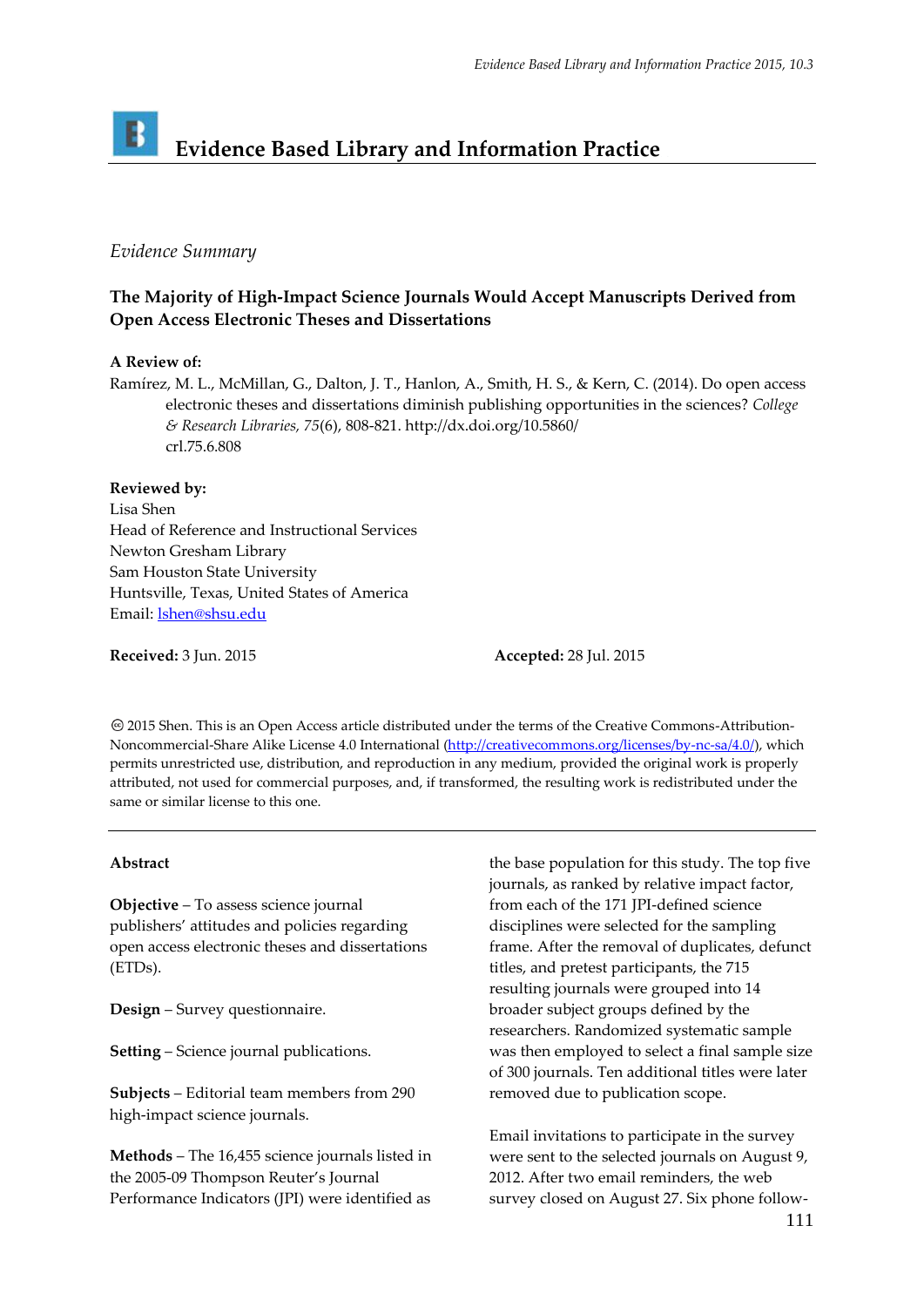# B **Evidence Based Library and Information Practice**

### *Evidence Summary*

## **The Majority of High-Impact Science Journals Would Accept Manuscripts Derived from Open Access Electronic Theses and Dissertations**

#### **A Review of:**

Ramírez, M. L., McMillan, G., Dalton, J. T., Hanlon, A., Smith, H. S., & Kern, C. (2014). Do open access electronic theses and dissertations diminish publishing opportunities in the sciences? *College & Research Libraries, 75*(6), 808-821. http://dx.doi.org/10.5860/ crl.75.6.808

#### **Reviewed by:**

Lisa Shen Head of Reference and Instructional Services Newton Gresham Library Sam Houston State University Huntsville, Texas, United States of America Email[: lshen@shsu.edu](mailto:lshen@shsu.edu)

**Received:** 3 Jun. 2015 **Accepted:** 28 Jul. 2015

2015 Shen. This is an Open Access article distributed under the terms of the Creative Commons‐Attribution‐ Noncommercial‐Share Alike License 4.0 International [\(http://creativecommons.org/licenses/by-nc-sa/4.0/\)](http://creativecommons.org/licenses/by-nc-sa/4.0/), which permits unrestricted use, distribution, and reproduction in any medium, provided the original work is properly attributed, not used for commercial purposes, and, if transformed, the resulting work is redistributed under the same or similar license to this one.

#### **Abstract**

**Objective** – To assess science journal publishers' attitudes and policies regarding open access electronic theses and dissertations (ETDs).

**Design** – Survey questionnaire.

**Setting** – Science journal publications.

**Subjects** – Editorial team members from 290 high-impact science journals.

**Methods** – The 16,455 science journals listed in the 2005-09 Thompson Reuter's Journal Performance Indicators (JPI) were identified as

the base population for this study. The top five journals, as ranked by relative impact factor, from each of the 171 JPI-defined science disciplines were selected for the sampling frame. After the removal of duplicates, defunct titles, and pretest participants, the 715 resulting journals were grouped into 14 broader subject groups defined by the researchers. Randomized systematic sample was then employed to select a final sample size of 300 journals. Ten additional titles were later removed due to publication scope.

Email invitations to participate in the survey were sent to the selected journals on August 9, 2012. After two email reminders, the web survey closed on August 27. Six phone follow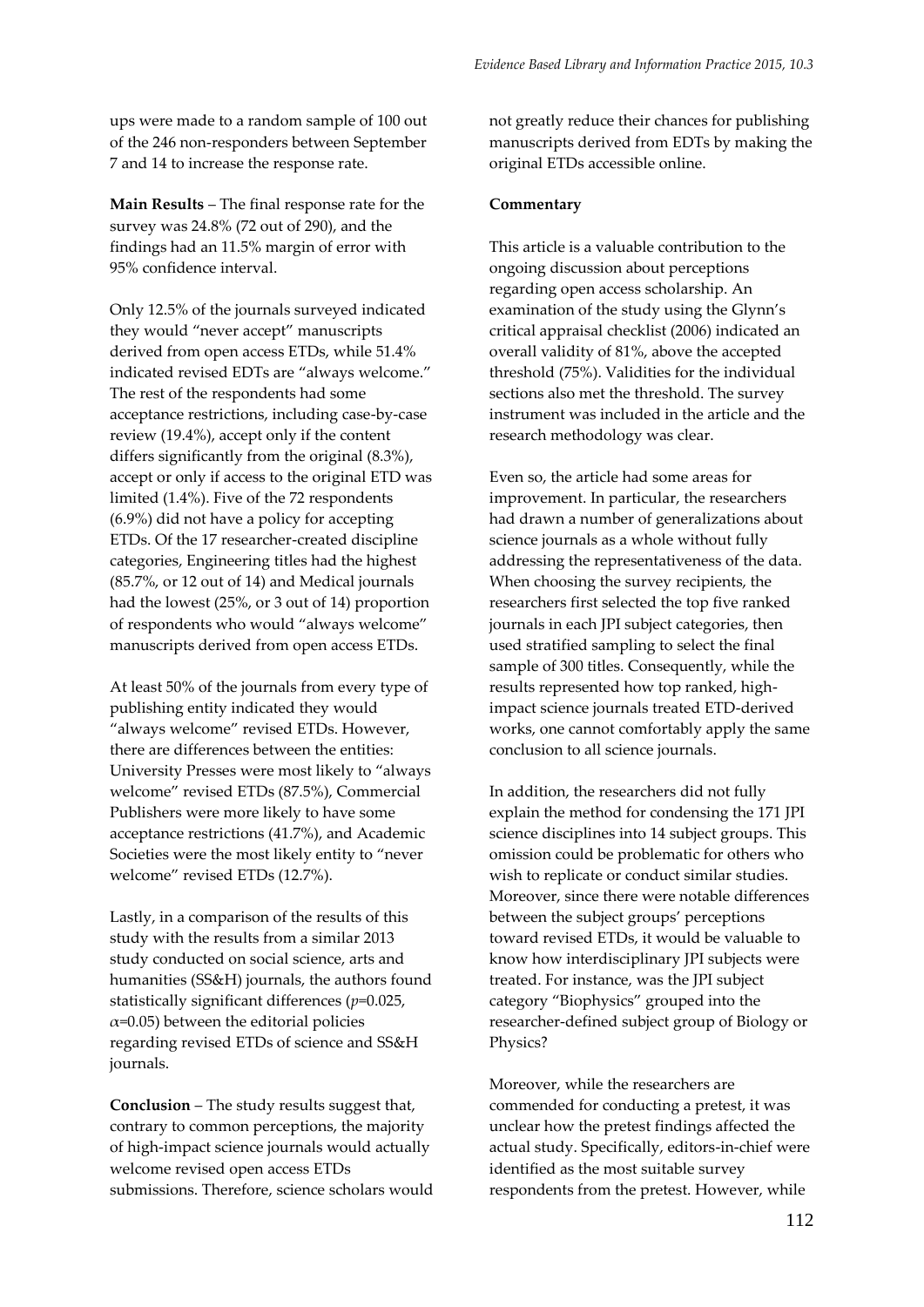ups were made to a random sample of 100 out of the 246 non-responders between September 7 and 14 to increase the response rate.

**Main Results** – The final response rate for the survey was 24.8% (72 out of 290), and the findings had an 11.5% margin of error with 95% confidence interval.

Only 12.5% of the journals surveyed indicated they would "never accept" manuscripts derived from open access ETDs, while 51.4% indicated revised EDTs are "always welcome." The rest of the respondents had some acceptance restrictions, including case-by-case review (19.4%), accept only if the content differs significantly from the original (8.3%), accept or only if access to the original ETD was limited (1.4%). Five of the 72 respondents (6.9%) did not have a policy for accepting ETDs. Of the 17 researcher-created discipline categories, Engineering titles had the highest (85.7%, or 12 out of 14) and Medical journals had the lowest (25%, or 3 out of 14) proportion of respondents who would "always welcome" manuscripts derived from open access ETDs.

At least 50% of the journals from every type of publishing entity indicated they would "always welcome" revised ETDs. However, there are differences between the entities: University Presses were most likely to "always welcome" revised ETDs (87.5%), Commercial Publishers were more likely to have some acceptance restrictions (41.7%), and Academic Societies were the most likely entity to "never welcome" revised ETDs (12.7%).

Lastly, in a comparison of the results of this study with the results from a similar 2013 study conducted on social science, arts and humanities (SS&H) journals, the authors found statistically significant differences (*p*=0.025,  $\alpha$ =0.05) between the editorial policies regarding revised ETDs of science and SS&H journals.

**Conclusion** – The study results suggest that, contrary to common perceptions, the majority of high-impact science journals would actually welcome revised open access ETDs submissions. Therefore, science scholars would not greatly reduce their chances for publishing manuscripts derived from EDTs by making the original ETDs accessible online.

#### **Commentary**

This article is a valuable contribution to the ongoing discussion about perceptions regarding open access scholarship. An examination of the study using the Glynn's critical appraisal checklist (2006) indicated an overall validity of 81%, above the accepted threshold (75%). Validities for the individual sections also met the threshold. The survey instrument was included in the article and the research methodology was clear.

Even so, the article had some areas for improvement. In particular, the researchers had drawn a number of generalizations about science journals as a whole without fully addressing the representativeness of the data. When choosing the survey recipients, the researchers first selected the top five ranked journals in each JPI subject categories, then used stratified sampling to select the final sample of 300 titles. Consequently, while the results represented how top ranked, highimpact science journals treated ETD-derived works, one cannot comfortably apply the same conclusion to all science journals.

In addition, the researchers did not fully explain the method for condensing the 171 JPI science disciplines into 14 subject groups. This omission could be problematic for others who wish to replicate or conduct similar studies. Moreover, since there were notable differences between the subject groups' perceptions toward revised ETDs, it would be valuable to know how interdisciplinary JPI subjects were treated. For instance, was the JPI subject category "Biophysics" grouped into the researcher-defined subject group of Biology or Physics?

Moreover, while the researchers are commended for conducting a pretest, it was unclear how the pretest findings affected the actual study. Specifically, editors-in-chief were identified as the most suitable survey respondents from the pretest. However, while